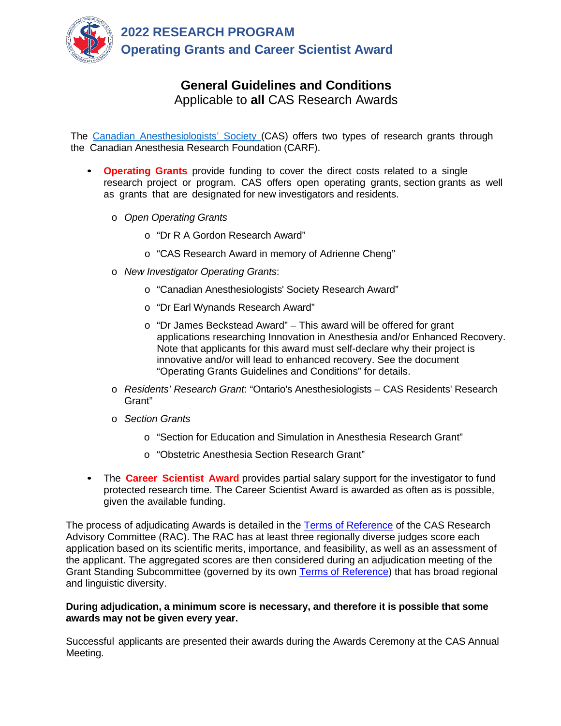

# **General Guidelines and Conditions** Applicable to **all** CAS Research Awards

The Canadian [Anesthesiologists'](https://www.cas.ca/English/About-Research-Program) Society (CAS) offers two types of research grants through the Canadian Anesthesia Research Foundation (CARF).

- **Operating Grants** provide funding to cover the direct costs related to a single research project or program. CAS offers open operating grants, section grants as well as grants that are designated for new investigators and residents.
	- o *Open Operating Grants*
		- o "Dr R A Gordon Research Award"
		- o "CAS Research Award in memory of Adrienne Cheng"
	- o *New Investigator Operating Grants*:
		- o "Canadian Anesthesiologists' Society Research Award"
		- o "Dr Earl Wynands Research Award"
		- o "Dr James Beckstead Award" This award will be offered for grant applications researching Innovation in Anesthesia and/or Enhanced Recovery. Note that applicants for this award must self-declare why their project is innovative and/or will lead to enhanced recovery. See the document "Operating Grants Guidelines and Conditions" for details.
	- o *Residents' Research Grant*: "Ontario's Anesthesiologists CAS Residents' Research Grant"
	- o *Section Grants*
		- o "Section for Education and Simulation in Anesthesia Research Grant"
		- o "Obstetric Anesthesia Section Research Grant"
- The **Career Scientist Award** provides partial salary support for the investigator to fund protected research time. The Career Scientist Award is awarded as often as is possible, given the available funding.

The process of adjudicating Awards is detailed in the [Terms of Reference](https://www.cas.ca/en/about-cas/governance/reference-documents/committee-terms-of-reference) of the CAS Research Advisory Committee (RAC). The RAC has at least three regionally diverse judges score each application based on its scientific merits, importance, and feasibility, as well as an assessment of the applicant. The aggregated scores are then considered during an adjudication meeting of the Grant Standing Subcommittee (governed by its own [Terms of Reference\)](https://www.cas.ca/en/about-cas/governance/reference-documents/committee-terms-of-reference) that has broad regional and linguistic diversity.

## **During adjudication, a minimum score is necessary, and therefore it is possible that some awards may not be given every year.**

Successful applicants are presented their awards during the Awards Ceremony at the CAS Annual Meeting.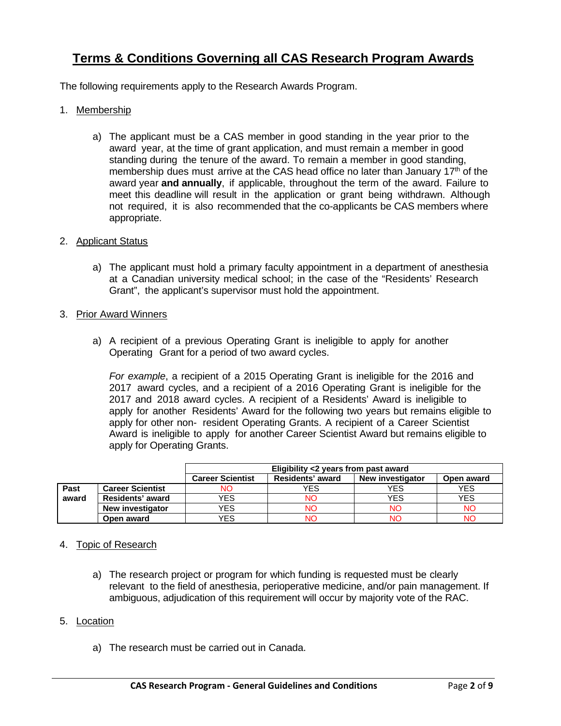# **Terms & Conditions Governing all CAS Research Program Awards**

The following requirements apply to the Research Awards Program.

- 1. Membership
	- a) The applicant must be a CAS member in good standing in the year prior to the award year, at the time of grant application, and must remain a member in good standing during the tenure of the award. To remain a member in good standing, membership dues must arrive at the CAS head office no later than January 17<sup>th</sup> of the award year **and annually**, if applicable, throughout the term of the award. Failure to meet this deadline will result in the application or grant being withdrawn. Although not required, it is also recommended that the co-applicants be CAS members where appropriate.

#### 2. Applicant Status

a) The applicant must hold a primary faculty appointment in a department of anesthesia at a Canadian university medical school; in the case of the "Residents' Research Grant", the applicant's supervisor must hold the appointment.

#### 3. Prior Award Winners

a) A recipient of a previous Operating Grant is ineligible to apply for another Operating Grant for a period of two award cycles.

*For example*, a recipient of a 2015 Operating Grant is ineligible for the 2016 and 2017 award cycles, and a recipient of a 2016 Operating Grant is ineligible for the 2017 and 2018 award cycles. A recipient of a Residents' Award is ineligible to apply for another Residents' Award for the following two years but remains eligible to apply for other non- resident Operating Grants. A recipient of a Career Scientist Award is ineligible to apply for another Career Scientist Award but remains eligible to apply for Operating Grants.

|       |                         | Eligibility <2 years from past award |                  |                         |            |
|-------|-------------------------|--------------------------------------|------------------|-------------------------|------------|
|       |                         | <b>Career Scientist</b>              | Residents' award | <b>New investigator</b> | Open award |
| Past  | <b>Career Scientist</b> | NO                                   | YES              | YES                     | YES.       |
| award | Residents' award        | YES                                  | NΟ               | YES                     | YES        |
|       | New investigator        | YES                                  | NΟ               | NΟ                      | NΟ         |
|       | Open award              | YES                                  | NΟ               | ΝC                      | NΟ         |

# 4. Topic of Research

a) The research project or program for which funding is requested must be clearly relevant to the field of anesthesia, perioperative medicine, and/or pain management. If ambiguous, adjudication of this requirement will occur by majority vote of the RAC.

#### 5. Location

a) The research must be carried out in Canada.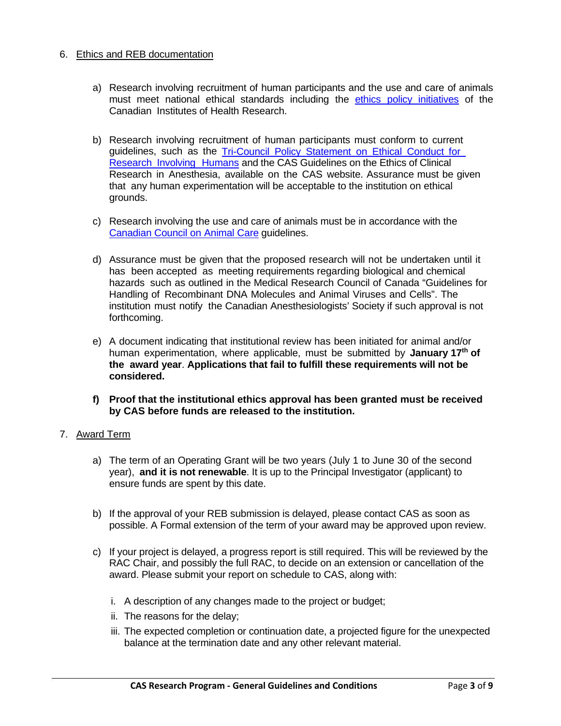## 6. Ethics and REB documentation

- a) Research involving recruitment of human participants and the use and care of animals must meet national ethical standards including the ethics policy [initiatives](https://cihr-irsc.gc.ca/e/29338.html) of the Canadian Institutes of Health Research.
- b) Research involving recruitment of human participants must conform to current guidelines, such as the [Tri-Council](https://ethics.gc.ca/eng/policy-politique_tcps2-eptc2_2018.html) Policy Statement on Ethical Conduct for [Research](https://ethics.gc.ca/eng/policy-politique_tcps2-eptc2_2018.html) Involving Humans and the CAS Guidelines on the Ethics of Clinical Research in Anesthesia, available on the CAS website. Assurance must be given that any human experimentation will be acceptable to the institution on ethical grounds.
- c) Research involving the use and care of animals must be in accordance with the [Canadian](https://www.ccac.ca/) Council on Animal Care guidelines.
- d) Assurance must be given that the proposed research will not be undertaken until it has been accepted as meeting requirements regarding biological and chemical hazards such as outlined in the Medical Research Council of Canada "Guidelines for Handling of Recombinant DNA Molecules and Animal Viruses and Cells". The institution must notify the Canadian Anesthesiologists' Society if such approval is not forthcoming.
- e) A document indicating that institutional review has been initiated for animal and/or human experimentation, where applicable, must be submitted by **January 17th of the award year**. **Applications that fail to fulfill these requirements will not be considered.**
- **f) Proof that the institutional ethics approval has been granted must be received by CAS before funds are released to the institution.**

# 7. Award Term

- a) The term of an Operating Grant will be two years (July 1 to June 30 of the second year), **and it is not renewable**. It is up to the Principal Investigator (applicant) to ensure funds are spent by this date.
- b) If the approval of your REB submission is delayed, please contact CAS as soon as possible. A Formal extension of the term of your award may be approved upon review.
- c) If your project is delayed, a progress report is still required. This will be reviewed by the RAC Chair, and possibly the full RAC, to decide on an extension or cancellation of the award. Please submit your report on schedule to CAS, along with:
	- i. A description of any changes made to the project or budget;
	- ii. The reasons for the delay;
	- iii. The expected completion or continuation date, a projected figure for the unexpected balance at the termination date and any other relevant material.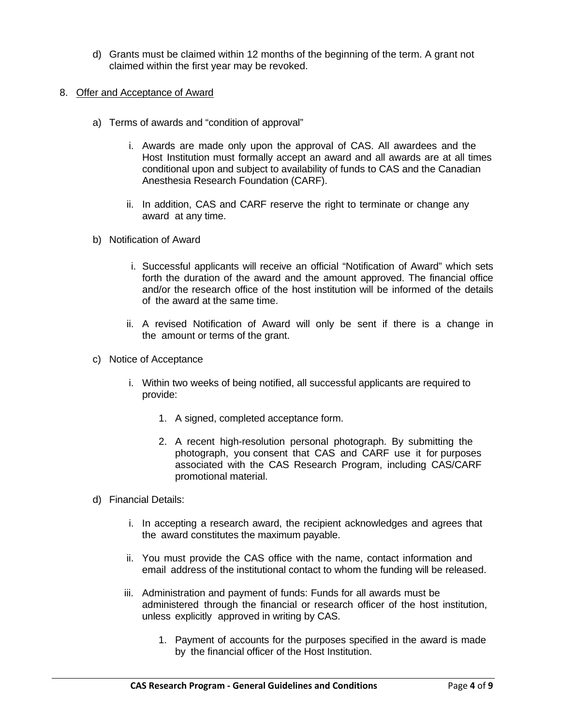- d) Grants must be claimed within 12 months of the beginning of the term. A grant not claimed within the first year may be revoked.
- 8. Offer and Acceptance of Award
	- a) Terms of awards and "condition of approval"
		- i. Awards are made only upon the approval of CAS. All awardees and the Host Institution must formally accept an award and all awards are at all times conditional upon and subject to availability of funds to CAS and the Canadian Anesthesia Research Foundation (CARF).
		- ii. In addition, CAS and CARF reserve the right to terminate or change any award at any time.
	- b) Notification of Award
		- i. Successful applicants will receive an official "Notification of Award" which sets forth the duration of the award and the amount approved. The financial office and/or the research office of the host institution will be informed of the details of the award at the same time.
		- ii. A revised Notification of Award will only be sent if there is a change in the amount or terms of the grant.
	- c) Notice of Acceptance
		- i. Within two weeks of being notified, all successful applicants are required to provide:
			- 1. A signed, completed acceptance form.
			- 2. A recent high-resolution personal photograph. By submitting the photograph, you consent that CAS and CARF use it for purposes associated with the CAS Research Program, including CAS/CARF promotional material.
	- d) Financial Details:
		- i. In accepting a research award, the recipient acknowledges and agrees that the award constitutes the maximum payable.
		- ii. You must provide the CAS office with the name, contact information and email address of the institutional contact to whom the funding will be released.
		- iii. Administration and payment of funds: Funds for all awards must be administered through the financial or research officer of the host institution, unless explicitly approved in writing by CAS.
			- 1. Payment of accounts for the purposes specified in the award is made by the financial officer of the Host Institution.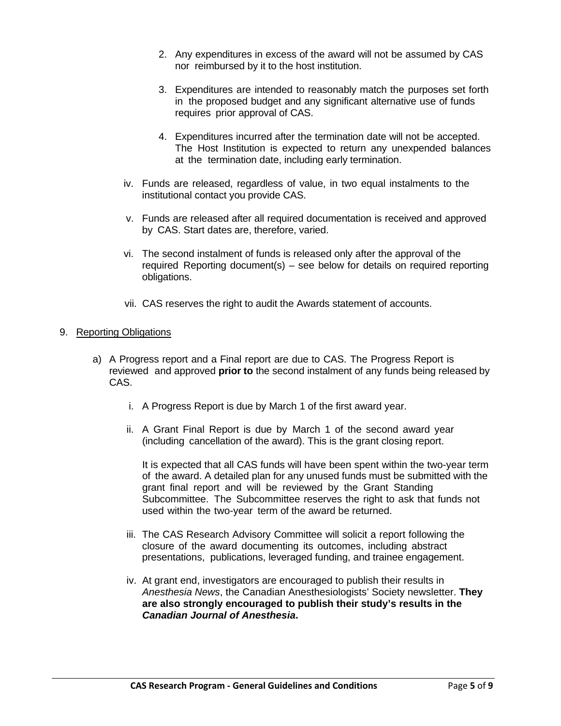- 2. Any expenditures in excess of the award will not be assumed by CAS nor reimbursed by it to the host institution.
- 3. Expenditures are intended to reasonably match the purposes set forth in the proposed budget and any significant alternative use of funds requires prior approval of CAS.
- 4. Expenditures incurred after the termination date will not be accepted. The Host Institution is expected to return any unexpended balances at the termination date, including early termination.
- iv. Funds are released, regardless of value, in two equal instalments to the institutional contact you provide CAS.
- v. Funds are released after all required documentation is received and approved by CAS. Start dates are, therefore, varied.
- vi. The second instalment of funds is released only after the approval of the required Reporting document(s) – see below for details on required reporting obligations.
- vii. CAS reserves the right to audit the Awards statement of accounts.

# 9. Reporting Obligations

- a) A Progress report and a Final report are due to CAS. The Progress Report is reviewed and approved **prior to** the second instalment of any funds being released by CAS.
	- i. A Progress Report is due by March 1 of the first award year.
	- ii. A Grant Final Report is due by March 1 of the second award year (including cancellation of the award). This is the grant closing report.

It is expected that all CAS funds will have been spent within the two-year term of the award. A detailed plan for any unused funds must be submitted with the grant final report and will be reviewed by the Grant Standing Subcommittee. The Subcommittee reserves the right to ask that funds not used within the two-year term of the award be returned.

- iii. The CAS Research Advisory Committee will solicit a report following the closure of the award documenting its outcomes, including abstract presentations, publications, leveraged funding, and trainee engagement.
- iv. At grant end, investigators are encouraged to publish their results in *Anesthesia News*, the Canadian Anesthesiologists' Society newsletter. **They are also strongly encouraged to publish their study's results in the**  *Canadian Journal of Anesthesia***.**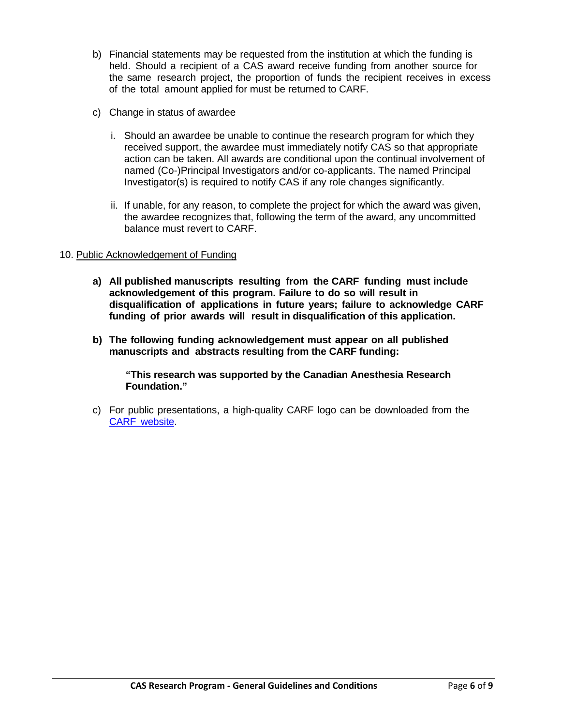- b) Financial statements may be requested from the institution at which the funding is held. Should a recipient of a CAS award receive funding from another source for the same research project, the proportion of funds the recipient receives in excess of the total amount applied for must be returned to CARF.
- c) Change in status of awardee
	- i. Should an awardee be unable to continue the research program for which they received support, the awardee must immediately notify CAS so that appropriate action can be taken. All awards are conditional upon the continual involvement of named (Co-)Principal Investigators and/or co-applicants. The named Principal Investigator(s) is required to notify CAS if any role changes significantly.
	- ii. If unable, for any reason, to complete the project for which the award was given, the awardee recognizes that, following the term of the award, any uncommitted balance must revert to CARF.

# 10. Public Acknowledgement of Funding

- **a) All published manuscripts resulting from the CARF funding must include acknowledgement of this program. Failure to do so will result in disqualification of applications in future years; failure to acknowledge CARF funding of prior awards will result in disqualification of this application.**
- **b) The following funding acknowledgement must appear on all published manuscripts and abstracts resulting from the CARF funding:**

**"This research was supported by the Canadian Anesthesia Research Foundation."**

c) For public presentations, a high-quality CARF logo can be downloaded from the CARF [website.](https://carf-cas.ca/)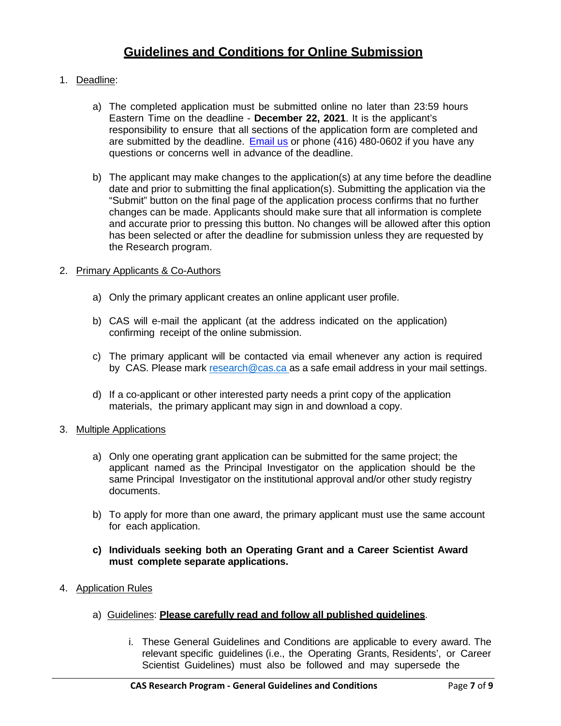# **Guidelines and Conditions for Online Submission**

# 1. Deadline:

- a) The completed application must be submitted online no later than 23:59 hours Eastern Time on the deadline - **December 22, 2021**. It is the applicant's responsibility to ensure that all sections of the application form are completed and are submitted by the deadline. [Email us](mailto:research@cas.ca) or phone (416) 480-0602 if you have any questions or concerns well in advance of the deadline.
- b) The applicant may make changes to the application(s) at any time before the deadline date and prior to submitting the final application(s). Submitting the application via the "Submit" button on the final page of the application process confirms that no further changes can be made. Applicants should make sure that all information is complete and accurate prior to pressing this button. No changes will be allowed after this option has been selected or after the deadline for submission unless they are requested by the Research program.

#### 2. Primary Applicants & Co-Authors

- a) Only the primary applicant creates an online applicant user profile.
- b) CAS will e-mail the applicant (at the address indicated on the application) confirming receipt of the online submission.
- c) The primary applicant will be contacted via email whenever any action is required by CAS. Please mark [research@cas.ca](mailto:research@cas.ca) as a safe email address in your mail settings.
- d) If a co-applicant or other interested party needs a print copy of the application materials, the primary applicant may sign in and download a copy.
- 3. Multiple Applications
	- a) Only one operating grant application can be submitted for the same project; the applicant named as the Principal Investigator on the application should be the same Principal Investigator on the institutional approval and/or other study registry documents.
	- b) To apply for more than one award, the primary applicant must use the same account for each application.
	- **c) Individuals seeking both an Operating Grant and a Career Scientist Award must complete separate applications.**
- 4. Application Rules
	- a) Guidelines: **Please carefully [read and follow](https://www.cas.ca/English/Guidelines-and-Conditions) all published guidelines**.
		- i. These General Guidelines and Conditions are applicable to every award. The relevant specific guidelines (i.e., the Operating Grants, Residents', or Career Scientist Guidelines) must also be followed and may supersede the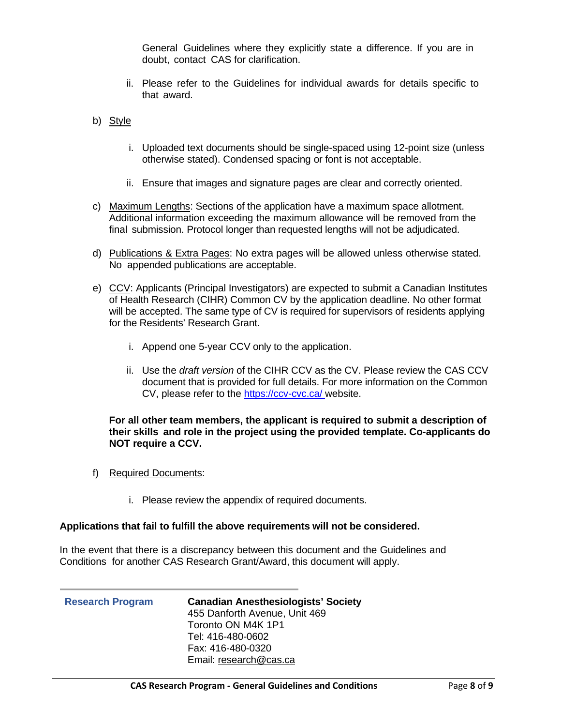General Guidelines where they explicitly state a difference. If you are in doubt, contact CAS for clarification.

- ii. Please refer to the Guidelines for individual awards for details specific to that award.
- b) Style
	- i. Uploaded text documents should be single-spaced using 12-point size (unless otherwise stated). Condensed spacing or font is not acceptable.
	- ii. Ensure that images and signature pages are clear and correctly oriented.
- c) Maximum Lengths: Sections of the application have a maximum space allotment. Additional information exceeding the maximum allowance will be removed from the final submission. Protocol longer than requested lengths will not be adjudicated.
- d) Publications & Extra Pages: No extra pages will be allowed unless otherwise stated. No appended publications are acceptable.
- e) CCV: Applicants (Principal Investigators) are expected to submit a Canadian Institutes of Health Research (CIHR) Common CV by the application deadline. No other format will be accepted. The same type of CV is required for supervisors of residents applying for the Residents' Research Grant.
	- i. Append one 5-year CCV only to the application.
	- ii. Use the *draft version* of the CIHR CCV as the CV. Please review the CAS CCV document that is provided for full details. For more information on the Common CV, please refer to the<https://ccv-cvc.ca/> website.

#### **For all other team members, the applicant is required to submit a description of their skills and role in the project using the provided template. Co-applicants do NOT require a CCV.**

- f) Required Documents:
	- i. Please review the appendix of required documents.

#### **Applications that fail to fulfill the above requirements will not be considered.**

In the event that there is a discrepancy between this document and the Guidelines and Conditions for another CAS Research Grant/Award, this document will apply.

## **Research Program Canadian Anesthesiologists' Society** 455 Danforth Avenue, Unit 469 Toronto ON M4K 1P1 Tel: 416-480-0602 Fax: 416-480-0320 Email: [research@cas.ca](mailto:research@cas.ca)